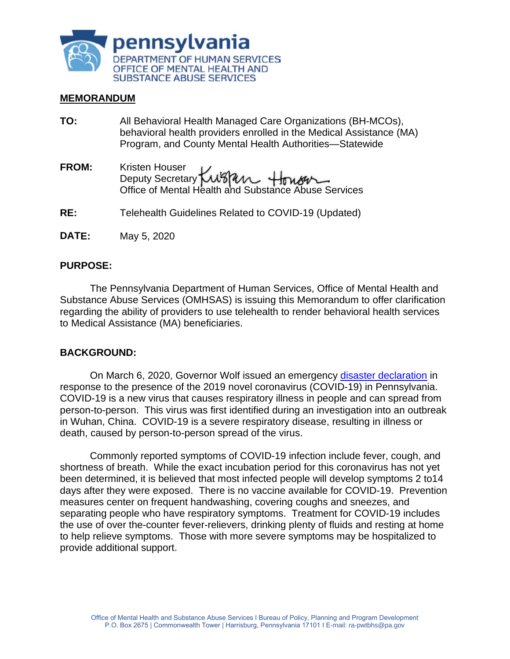

#### **MEMORANDUM**

- **TO:** All Behavioral Health Managed Care Organizations (BH-MCOs), behavioral health providers enrolled in the Medical Assistance (MA) Program, and County Mental Health Authorities—Statewide
- **FROM:** Kristen Houser Deputy Secretary Office of Mental Health and Substance Abuse Services
- **RE:** Telehealth Guidelines Related to COVID-19 (Updated)
- **DATE:** May 5, 2020

#### **PURPOSE:**

The Pennsylvania Department of Human Services, Office of Mental Health and Substance Abuse Services (OMHSAS) is issuing this Memorandum to offer clarification regarding the ability of providers to use telehealth to render behavioral health services to Medical Assistance (MA) beneficiaries.

#### **BACKGROUND:**

On March 6, 2020, Governor Wolf issued an emergency [disaster declaration](https://www.governor.pa.gov/newsroom/gov-wolf-signs-covid-19-disaster-declaration-to-provide-increased-support-for-state-response/) in response to the presence of the 2019 novel coronavirus (COVID-19) in Pennsylvania. COVID-19 is a new virus that causes respiratory illness in people and can spread from person-to-person. This virus was first identified during an investigation into an outbreak in Wuhan, China. COVID-19 is a severe respiratory disease, resulting in illness or death, caused by person-to-person spread of the virus.

Commonly reported symptoms of COVID-19 infection include fever, cough, and shortness of breath. While the exact incubation period for this coronavirus has not yet been determined, it is believed that most infected people will develop symptoms 2 to14 days after they were exposed. There is no vaccine available for COVID-19. Prevention measures center on frequent handwashing, covering coughs and sneezes, and separating people who have respiratory symptoms. Treatment for COVID-19 includes the use of over the-counter fever-relievers, drinking plenty of fluids and resting at home to help relieve symptoms. Those with more severe symptoms may be hospitalized to provide additional support.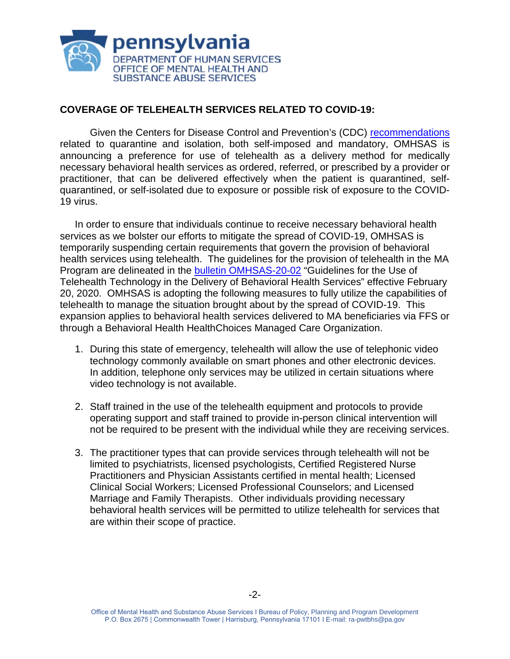

# **COVERAGE OF TELEHEALTH SERVICES RELATED TO COVID-19:**

Given the Centers for Disease Control and Prevention's (CDC) [recommendations](https://www.cdc.gov/coronavirus/2019-ncov/index.html) related to quarantine and isolation, both self-imposed and mandatory, OMHSAS is announcing a preference for use of telehealth as a delivery method for medically necessary behavioral health services as ordered, referred, or prescribed by a provider or practitioner, that can be delivered effectively when the patient is quarantined, selfquarantined, or self-isolated due to exposure or possible risk of exposure to the COVID-19 virus.

In order to ensure that individuals continue to receive necessary behavioral health services as we bolster our efforts to mitigate the spread of COVID-19, OMHSAS is temporarily suspending certain requirements that govern the provision of behavioral health services using telehealth. The guidelines for the provision of telehealth in the MA Program are delineated in the [bulletin OMHSAS-20-02](https://www.dhs.pa.gov/docs/Publications/Documents/FORMS%20AND%20PUBS%20OMHSAS/Final%20-%20OMHSAS%20Telehealth%20Bulletin%202.20.20.pdf) "Guidelines for the Use of Telehealth Technology in the Delivery of Behavioral Health Services" effective February 20, 2020. OMHSAS is adopting the following measures to fully utilize the capabilities of telehealth to manage the situation brought about by the spread of COVID-19. This expansion applies to behavioral health services delivered to MA beneficiaries via FFS or through a Behavioral Health HealthChoices Managed Care Organization.

- 1. During this state of emergency, telehealth will allow the use of telephonic video technology commonly available on smart phones and other electronic devices. In addition, telephone only services may be utilized in certain situations where video technology is not available.
- 2. Staff trained in the use of the telehealth equipment and protocols to provide operating support and staff trained to provide in-person clinical intervention will not be required to be present with the individual while they are receiving services.
- 3. The practitioner types that can provide services through telehealth will not be limited to psychiatrists, licensed psychologists, Certified Registered Nurse Practitioners and Physician Assistants certified in mental health; Licensed Clinical Social Workers; Licensed Professional Counselors; and Licensed Marriage and Family Therapists. Other individuals providing necessary behavioral health services will be permitted to utilize telehealth for services that are within their scope of practice.

Office of Mental Health and Substance Abuse Services I Bureau of Policy, Planning and Program Development P.O. Box 2675 | Commonwealth Tower | Harrisburg, Pennsylvania 17101 I E-mail: ra-pwtbhs@pa.gov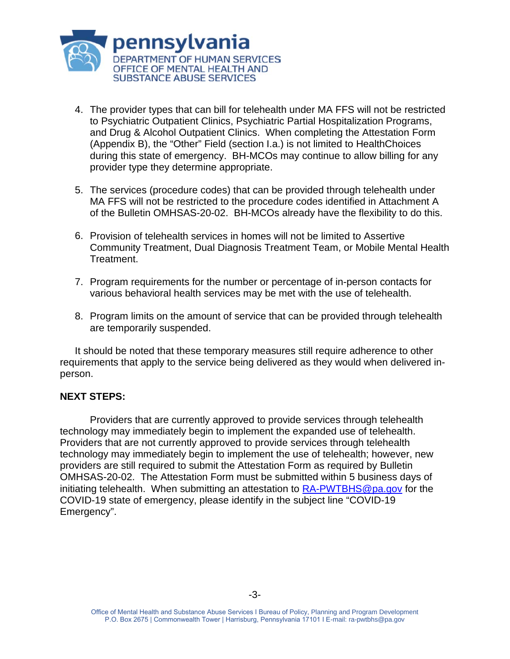

- 4. The provider types that can bill for telehealth under MA FFS will not be restricted to Psychiatric Outpatient Clinics, Psychiatric Partial Hospitalization Programs, and Drug & Alcohol Outpatient Clinics. When completing the Attestation Form (Appendix B), the "Other" Field (section I.a.) is not limited to HealthChoices during this state of emergency. BH-MCOs may continue to allow billing for any provider type they determine appropriate.
- 5. The services (procedure codes) that can be provided through telehealth under MA FFS will not be restricted to the procedure codes identified in Attachment A of the Bulletin OMHSAS-20-02. BH-MCOs already have the flexibility to do this.
- 6. Provision of telehealth services in homes will not be limited to Assertive Community Treatment, Dual Diagnosis Treatment Team, or Mobile Mental Health Treatment.
- 7. Program requirements for the number or percentage of in-person contacts for various behavioral health services may be met with the use of telehealth.
- 8. Program limits on the amount of service that can be provided through telehealth are temporarily suspended.

It should be noted that these temporary measures still require adherence to other requirements that apply to the service being delivered as they would when delivered inperson.

## **NEXT STEPS:**

Providers that are currently approved to provide services through telehealth technology may immediately begin to implement the expanded use of telehealth. Providers that are not currently approved to provide services through telehealth technology may immediately begin to implement the use of telehealth; however, new providers are still required to submit the Attestation Form as required by Bulletin OMHSAS-20-02. The Attestation Form must be submitted within 5 business days of initiating telehealth. When submitting an attestation to [RA-PWTBHS@pa.gov](mailto:RA-PWTBHS@pa.gov) for the COVID-19 state of emergency, please identify in the subject line "COVID-19 Emergency".

Office of Mental Health and Substance Abuse Services I Bureau of Policy, Planning and Program Development P.O. Box 2675 | Commonwealth Tower | Harrisburg, Pennsylvania 17101 I E-mail: ra-pwtbhs@pa.gov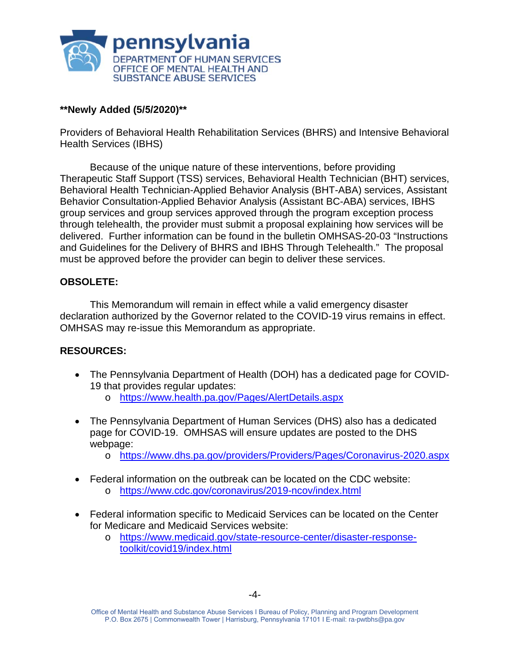

## **\*\*Newly Added (5/5/2020)\*\***

Providers of Behavioral Health Rehabilitation Services (BHRS) and Intensive Behavioral Health Services (IBHS)

Because of the unique nature of these interventions, before providing Therapeutic Staff Support (TSS) services, Behavioral Health Technician (BHT) services, Behavioral Health Technician-Applied Behavior Analysis (BHT-ABA) services, Assistant Behavior Consultation-Applied Behavior Analysis (Assistant BC-ABA) services, IBHS group services and group services approved through the program exception process through telehealth, the provider must submit a proposal explaining how services will be delivered. Further information can be found in the bulletin OMHSAS-20-03 "Instructions and Guidelines for the Delivery of BHRS and IBHS Through Telehealth." The proposal must be approved before the provider can begin to deliver these services.

## **OBSOLETE:**

This Memorandum will remain in effect while a valid emergency disaster declaration authorized by the Governor related to the COVID-19 virus remains in effect. OMHSAS may re-issue this Memorandum as appropriate.

## **RESOURCES:**

- The Pennsylvania Department of Health (DOH) has a dedicated page for COVID-19 that provides regular updates:
	- o <https://www.health.pa.gov/Pages/AlertDetails.aspx>
- The Pennsylvania Department of Human Services (DHS) also has a dedicated page for COVID-19. OMHSAS will ensure updates are posted to the DHS webpage:
	- o <https://www.dhs.pa.gov/providers/Providers/Pages/Coronavirus-2020.aspx>
- Federal information on the outbreak can be located on the CDC website:
	- o <https://www.cdc.gov/coronavirus/2019-ncov/index.html>
- Federal information specific to Medicaid Services can be located on the Center for Medicare and Medicaid Services website:
	- o [https://www.medicaid.gov/state-resource-center/disaster-response](https://www.medicaid.gov/state-resource-center/disaster-response-toolkit/covid19/index.html)[toolkit/covid19/index.html](https://www.medicaid.gov/state-resource-center/disaster-response-toolkit/covid19/index.html)

Office of Mental Health and Substance Abuse Services I Bureau of Policy, Planning and Program Development P.O. Box 2675 | Commonwealth Tower | Harrisburg, Pennsylvania 17101 I E-mail: ra-pwtbhs@pa.gov